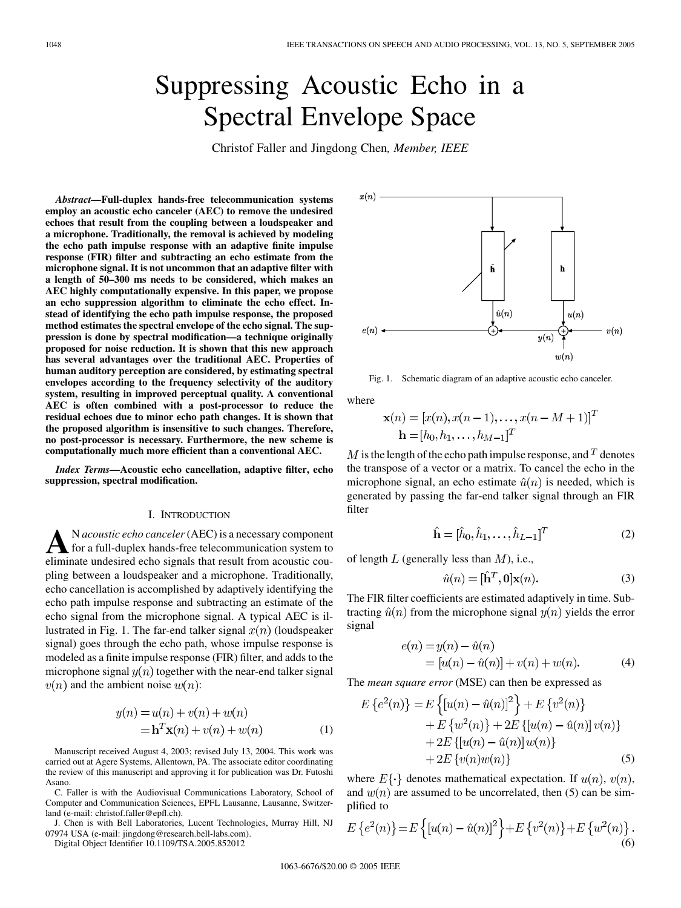# Suppressing Acoustic Echo in a Spectral Envelope Space

Christof Faller and Jingdong Chen*, Member, IEEE*

*Abstract—***Full-duplex hands-free telecommunication systems employ an acoustic echo canceler (AEC) to remove the undesired echoes that result from the coupling between a loudspeaker and a microphone. Traditionally, the removal is achieved by modeling the echo path impulse response with an adaptive finite impulse response (FIR) filter and subtracting an echo estimate from the microphone signal. It is not uncommon that an adaptive filter with a length of 50–300 ms needs to be considered, which makes an AEC highly computationally expensive. In this paper, we propose an echo suppression algorithm to eliminate the echo effect. Instead of identifying the echo path impulse response, the proposed method estimates the spectral envelope of the echo signal. The suppression is done by spectral modification—a technique originally proposed for noise reduction. It is shown that this new approach has several advantages over the traditional AEC. Properties of human auditory perception are considered, by estimating spectral envelopes according to the frequency selectivity of the auditory system, resulting in improved perceptual quality. A conventional AEC is often combined with a post-processor to reduce the residual echoes due to minor echo path changes. It is shown that the proposed algorithm is insensitive to such changes. Therefore, no post-processor is necessary. Furthermore, the new scheme is computationally much more efficient than a conventional AEC.**

*Index Terms—***Acoustic echo cancellation, adaptive filter, echo suppression, spectral modification.**

#### I. INTRODUCTION

A<br> **A**N *acoustic echo canceler* (AEC) is a necessary component<br>
oliminate undecided orbe cignals that result from equation eliminate undesired echo signals that result from acoustic coupling between a loudspeaker and a microphone. Traditionally, echo cancellation is accomplished by adaptively identifying the echo path impulse response and subtracting an estimate of the echo signal from the microphone signal. A typical AEC is illustrated in Fig. 1. The far-end talker signal  $x(n)$  (loudspeaker signal) goes through the echo path, whose impulse response is modeled as a finite impulse response (FIR) filter, and adds to the microphone signal  $y(n)$  together with the near-end talker signal  $v(n)$  and the ambient noise  $w(n)$ :

$$
y(n) = u(n) + v(n) + w(n)
$$
  
=
$$
\mathbf{h}^{T}\mathbf{x}(n) + v(n) + w(n)
$$
 (1)

Manuscript received August 4, 2003; revised July 13, 2004. This work was carried out at Agere Systems, Allentown, PA. The associate editor coordinating the review of this manuscript and approving it for publication was Dr. Futoshi Asano.

C. Faller is with the Audiovisual Communications Laboratory, School of Computer and Communication Sciences, EPFL Lausanne, Lausanne, Switzerland (e-mail: christof.faller@epfl.ch).

J. Chen is with Bell Laboratories, Lucent Technologies, Murray Hill, NJ 07974 USA (e-mail: jingdong@research.bell-labs.com).

Digital Object Identifier 10.1109/TSA.2005.852012



Fig. 1. Schematic diagram of an adaptive acoustic echo canceler.

where

$$
\mathbf{x}(n) = [x(n), x(n-1), \dots, x(n-M+1)]^T
$$
  

$$
\mathbf{h} = [h_0, h_1, \dots, h_{M-1}]^T
$$

 $M$  is the length of the echo path impulse response, and  $T$  denotes the transpose of a vector or a matrix. To cancel the echo in the microphone signal, an echo estimate  $\hat{u}(n)$  is needed, which is generated by passing the far-end talker signal through an FIR filter

$$
\hat{\mathbf{h}} = [\hat{h}_0, \hat{h}_1, \dots, \hat{h}_{L-1}]^T
$$
\n(2)

 $\sqrt{ }$ 

of length  $L$  (generally less than  $M$ ), i.e.,

$$
\hat{u}(n) = [\hat{\mathbf{h}}^T, \mathbf{0}] \mathbf{x}(n). \tag{3}
$$

The FIR filter coefficients are estimated adaptively in time. Subtracting  $\hat{u}(n)$  from the microphone signal  $y(n)$  yields the error signal

$$
e(n) = y(n) - \hat{u}(n)
$$
  
=  $[u(n) - \hat{u}(n)] + v(n) + w(n)$ . (4)

The *mean square error* (MSE) can then be expressed as

$$
E\left\{e^{2}(n)\right\} = E\left\{[u(n) - \hat{u}(n)]^{2}\right\} + E\left\{v^{2}(n)\right\} + E\left\{w^{2}(n)\right\} + 2E\left\{[u(n) - \hat{u}(n)]v(n)\right\} + 2E\left\{[u(n) - \hat{u}(n)]w(n)\right\} + 2E\left\{v(n)w(n)\right\} \tag{5}
$$

where  $E\{\cdot\}$  denotes mathematical expectation. If  $u(n)$ ,  $v(n)$ , and  $w(n)$  are assumed to be uncorrelated, then (5) can be simplified to

$$
E\left\{e^{2}(n)\right\} = E\left\{[u(n) - \hat{u}(n)]^{2}\right\} + E\left\{v^{2}(n)\right\} + E\left\{w^{2}(n)\right\}.
$$
\n(6)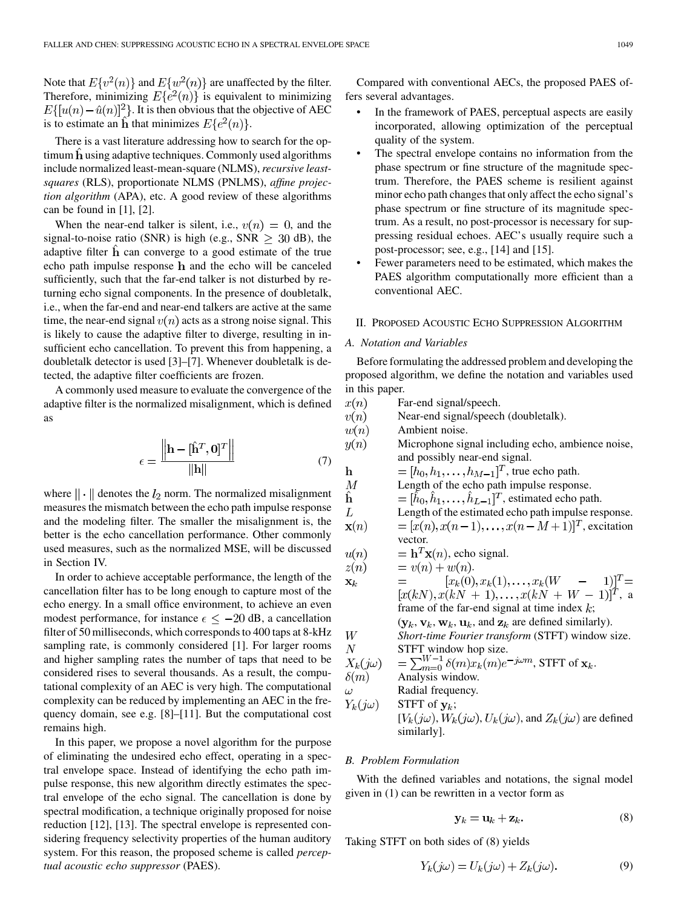Note that  $E\{v^2(n)\}$  and  $E\{w^2(n)\}$  are unaffected by the filter. Therefore, minimizing  $E\{e^2(n)\}\$ is equivalent to minimizing  $E\{[u(n)-\hat{u}(n)]^2\}$ . It is then obvious that the objective of AEC is to estimate an **h** that minimizes  $E\{e^{2}(n)\}\$ .

There is a vast literature addressing how to search for the op $t$ imum  $h$  using adaptive techniques. Commonly used algorithms include normalized least-mean-square (NLMS),*recursive leastsquares* (RLS), proportionate NLMS (PNLMS), *affine projection algorithm* (APA), etc. A good review of these algorithms can be found in  $[1]$  $[1]$ ,  $[2]$  $[2]$ .

When the near-end talker is silent, i.e.,  $v(n) = 0$ , and the signal-to-noise ratio (SNR) is high (e.g., SNR  $\geq 30$  dB), the adaptive filter  $\hat{h}$  can converge to a good estimate of the true echo path impulse response h and the echo will be canceled sufficiently, such that the far-end talker is not disturbed by returning echo signal components. In the presence of doubletalk, i.e., when the far-end and near-end talkers are active at the same time, the near-end signal  $v(n)$  acts as a strong noise signal. This is likely to cause the adaptive filter to diverge, resulting in insufficient echo cancellation. To prevent this from happening, a doubletalk detector is used [\[3](#page-13-0)]–[[7\]](#page-13-0). Whenever doubletalk is detected, the adaptive filter coefficients are frozen.

A commonly used measure to evaluate the convergence of the adaptive filter is the normalized misalignment, which is defined as

$$
\epsilon = \frac{\left\| \mathbf{h} - [\hat{\mathbf{h}}^T, \mathbf{0}]^T \right\|}{\left\| \mathbf{h} \right\|} \tag{7}
$$

where  $\|\cdot\|$  denotes the  $l_2$  norm. The normalized misalignment measures the mismatch between the echo path impulse response and the modeling filter. The smaller the misalignment is, the better is the echo cancellation performance. Other commonly used measures, such as the normalized MSE, will be discussed in Section IV.

In order to achieve acceptable performance, the length of the cancellation filter has to be long enough to capture most of the echo energy. In a small office environment, to achieve an even modest performance, for instance  $\epsilon \leq -20$  dB, a cancellation filter of 50 milliseconds, which corresponds to 400 taps at 8-kHz sampling rate, is commonly considered [[1\]](#page-13-0). For larger rooms and higher sampling rates the number of taps that need to be considered rises to several thousands. As a result, the computational complexity of an AEC is very high. The computational complexity can be reduced by implementing an AEC in the frequency domain, see e.g. [\[8](#page-13-0)]–[[11\]](#page-13-0). But the computational cost remains high.

In this paper, we propose a novel algorithm for the purpose of eliminating the undesired echo effect, operating in a spectral envelope space. Instead of identifying the echo path impulse response, this new algorithm directly estimates the spectral envelope of the echo signal. The cancellation is done by spectral modification, a technique originally proposed for noise reduction [[12\]](#page-13-0), [[13\]](#page-13-0). The spectral envelope is represented considering frequency selectivity properties of the human auditory system. For this reason, the proposed scheme is called *perceptual acoustic echo suppressor* (PAES).

Compared with conventional AECs, the proposed PAES offers several advantages.

- In the framework of PAES, perceptual aspects are easily incorporated, allowing optimization of the perceptual quality of the system.
- The spectral envelope contains no information from the phase spectrum or fine structure of the magnitude spectrum. Therefore, the PAES scheme is resilient against minor echo path changes that only affect the echo signal's phase spectrum or fine structure of its magnitude spectrum. As a result, no post-processor is necessary for suppressing residual echoes. AEC's usually require such a post-processor; see, e.g., [\[14](#page-13-0)] and [[15\]](#page-13-0).
- Fewer parameters need to be estimated, which makes the PAES algorithm computationally more efficient than a conventional AEC.

#### II. PROPOSED ACOUSTIC ECHO SUPPRESSION ALGORITHM

#### *A. Notation and Variables*

Before formulating the addressed problem and developing the proposed algorithm, we define the notation and variables used in this paper.

| $x(n)$                                                                                                        | Far-end signal/speech.                                                                                                                            |
|---------------------------------------------------------------------------------------------------------------|---------------------------------------------------------------------------------------------------------------------------------------------------|
| $v(n)$                                                                                                        | Near-end signal/speech (doubletalk).                                                                                                              |
| $w(n)$                                                                                                        | Ambient noise.                                                                                                                                    |
| $y(n)$                                                                                                        | Microphone signal including echo, ambiente noise, and possibly near-end signal.                                                                   |
| $\mathbf{h}$                                                                                                  | = $[h_0, h_1, \ldots, h_{M-1}]^T$ , true echo path.                                                                                               |
| $M$                                                                                                           | Length of the echo path impulse response.                                                                                                         |
| $\hat{\mathbf{h}}$                                                                                            | = $[\hat{h}_0, \hat{h}_1, \ldots, \hat{h}_{L-1}]^T$ , estimated echo path.                                                                        |
| $L$                                                                                                           | Length of the estimated echo path impulse response.                                                                                               |
| $\mathbf{x}(n)$                                                                                               | = $[x(n), x(n-1), \ldots, x(n-M+1)]^T$ , excitation vector.                                                                                       |
| $u(n)$                                                                                                        | = $\mathbf{h}^T \mathbf{x}(n)$ , echo signal.                                                                                                     |
| $z(n)$                                                                                                        | = $v(n) + w(n)$ .                                                                                                                                 |
| $\mathbf{x}_k$                                                                                                | = $[x_k(0), x_k(1), \ldots, x_k(W - 1)]^T =$<br>$[x(kN), x(kN + 1), \ldots, x(kN + W - 1)]^T$ , a frame of the far-end signal at time index $k$ ; |
| $(\mathbf{y}_k, \mathbf{v}_k, \mathbf{w}_k, \mathbf{u}_k, \text{and } \mathbf{z}_k$ are defined similarly).\n |                                                                                                                                                   |
| $W$                                                                                                           | Short-time Fourier transform (STFT) window size.                                                                                                  |
| $X_k(j\omega)$                                                                                                | STFT window hop size.                                                                                                                             |
| $X_k(j\omega)$                                                                                                | = $\sum_{m=0}^{W-1} \delta(m)x_k(m)e^{-j\omega m}$ , STFT of $\mathbf{x}_k$ .                                                                     |
|                                                                                                               |                                                                                                                                                   |

## *B. Problem Formulation*

With the defined variables and notations, the signal model given in (1) can be rewritten in a vector form as

$$
\mathbf{y}_k = \mathbf{u}_k + \mathbf{z}_k. \tag{8}
$$

Taking STFT on both sides of (8) yields

$$
Y_k(j\omega) = U_k(j\omega) + Z_k(j\omega). \tag{9}
$$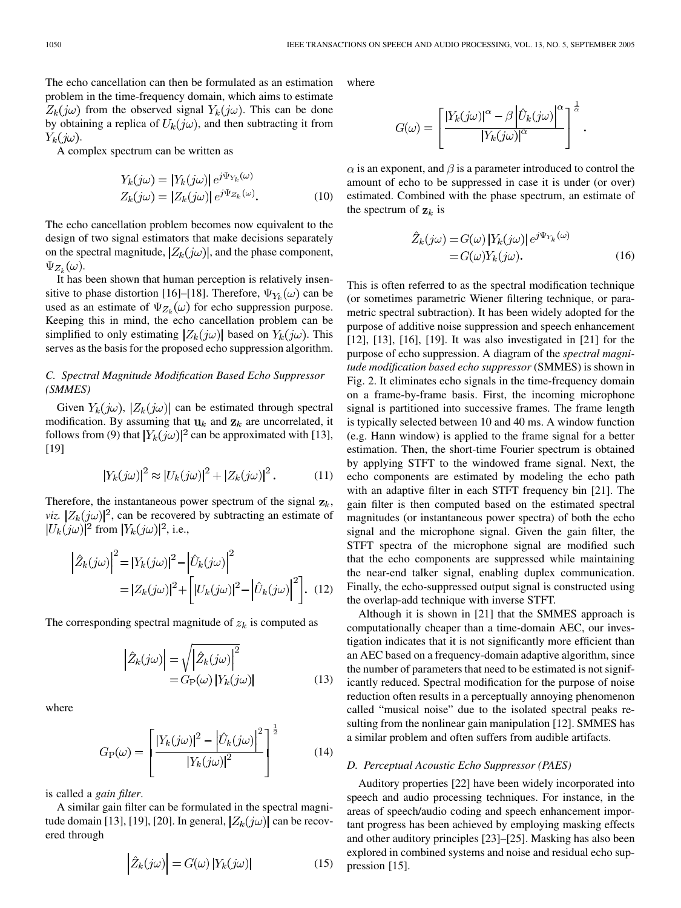The echo cancellation can then be formulated as an estimation problem in the time-frequency domain, which aims to estimate  $Z_k(j\omega)$  from the observed signal  $Y_k(j\omega)$ . This can be done by obtaining a replica of  $U_k(j\omega)$ , and then subtracting it from  $Y_k(j\omega)$ .

A complex spectrum can be written as

$$
Y_k(j\omega) = |Y_k(j\omega)| e^{j\Psi_{Y_k}(\omega)}
$$
  
\n
$$
Z_k(j\omega) = |Z_k(j\omega)| e^{j\Psi_{Z_k}(\omega)}.
$$
\n(10)

The echo cancellation problem becomes now equivalent to the design of two signal estimators that make decisions separately on the spectral magnitude,  $|Z_k(j\omega)|$ , and the phase component,  $\Psi_{Z_{k}}(\omega)$ .

It has been shown that human perception is relatively insen-sitive to phase distortion [[16\]](#page-13-0)–[\[18](#page-13-0)]. Therefore,  $\Psi_{Y_k}(\omega)$  can be used as an estimate of  $\Psi_{Z_k}(\omega)$  for echo suppression purpose. Keeping this in mind, the echo cancellation problem can be simplified to only estimating  $|Z_k(j\omega)|$  based on  $Y_k(j\omega)$ . This serves as the basis for the proposed echo suppression algorithm.

## *C. Spectral Magnitude Modification Based Echo Suppressor (SMMES)*

Given  $Y_k(j\omega)$ ,  $|Z_k(j\omega)|$  can be estimated through spectral modification. By assuming that  $\mathbf{u}_k$  and  $\mathbf{z}_k$  are uncorrelated, it follows from (9) that  $|Y_k(j\omega)|^2$  can be approximated with [[13\]](#page-13-0), [[19\]](#page-13-0)

$$
|Y_k(j\omega)|^2 \approx |U_k(j\omega)|^2 + |Z_k(j\omega)|^2. \tag{11}
$$

Therefore, the instantaneous power spectrum of the signal  $\mathbf{z}_k$ , *viz.*  $|Z_k(j\omega)|^2$ , can be recovered by subtracting an estimate of  $|U_k(j\omega)|^2$  from  $|Y_k(j\omega)|^2$ , i.e.,

$$
\left| \hat{Z}_k(j\omega) \right|^2 = |Y_k(j\omega)|^2 - \left| \hat{U}_k(j\omega) \right|^2
$$

$$
= |Z_k(j\omega)|^2 + \left[ |U_k(j\omega)|^2 - \left| \hat{U}_k(j\omega) \right|^2 \right]. \quad (12)
$$

The corresponding spectral magnitude of  $z_k$  is computed as

$$
\left| \hat{Z}_k(j\omega) \right| = \sqrt{\left| \hat{Z}_k(j\omega) \right|^2}
$$
  
=  $G_P(\omega) |Y_k(j\omega)|$  (13)

where

$$
G_{\rm P}(\omega) = \left[ \frac{|Y_k(j\omega)|^2 - \left| \hat{U}_k(j\omega) \right|^2}{|Y_k(j\omega)|^2} \right]^{\frac{1}{2}}
$$
(14)

is called a *gain filter*.

A similar gain filter can be formulated in the spectral magni-tude domain [\[13](#page-13-0)], [[19\]](#page-13-0), [[20\]](#page-13-0). In general,  $|Z_k(j\omega)|$  can be recovered through

$$
\left| \hat{Z}_k(j\omega) \right| = G(\omega) \left| Y_k(j\omega) \right| \tag{15}
$$

where

$$
G(\omega) = \left[ \frac{|Y_k(j\omega)|^{\alpha} - \beta \left| \hat{U}_k(j\omega) \right|^{\alpha}}{|Y_k(j\omega)|^{\alpha}} \right]^{\frac{1}{\alpha}}.
$$

 $\alpha$  is an exponent, and  $\beta$  is a parameter introduced to control the amount of echo to be suppressed in case it is under (or over) estimated. Combined with the phase spectrum, an estimate of the spectrum of  $z_k$  is

$$
\hat{Z}_k(j\omega) = G(\omega) |Y_k(j\omega)| e^{j\Psi_{Y_k}(\omega)} \n= G(\omega) Y_k(j\omega).
$$
\n(16)

This is often referred to as the spectral modification technique (or sometimes parametric Wiener filtering technique, or parametric spectral subtraction). It has been widely adopted for the purpose of additive noise suppression and speech enhancement [[12\]](#page-13-0), [[13\]](#page-13-0), [[16\]](#page-13-0), [[19\]](#page-13-0). It was also investigated in [\[21](#page-13-0)] for the purpose of echo suppression. A diagram of the *spectral magnitude modification based echo suppressor* (SMMES) is shown in Fig. 2. It eliminates echo signals in the time-frequency domain on a frame-by-frame basis. First, the incoming microphone signal is partitioned into successive frames. The frame length is typically selected between 10 and 40 ms. A window function (e.g. Hann window) is applied to the frame signal for a better estimation. Then, the short-time Fourier spectrum is obtained by applying STFT to the windowed frame signal. Next, the echo components are estimated by modeling the echo path with an adaptive filter in each STFT frequency bin [[21\]](#page-13-0). The gain filter is then computed based on the estimated spectral magnitudes (or instantaneous power spectra) of both the echo signal and the microphone signal. Given the gain filter, the STFT spectra of the microphone signal are modified such that the echo components are suppressed while maintaining the near-end talker signal, enabling duplex communication. Finally, the echo-suppressed output signal is constructed using the overlap-add technique with inverse STFT.

Although it is shown in [\[21](#page-13-0)] that the SMMES approach is computationally cheaper than a time-domain AEC, our investigation indicates that it is not significantly more efficient than an AEC based on a frequency-domain adaptive algorithm, since the number of parameters that need to be estimated is not significantly reduced. Spectral modification for the purpose of noise reduction often results in a perceptually annoying phenomenon called "musical noise" due to the isolated spectral peaks resulting from the nonlinear gain manipulation [\[12](#page-13-0)]. SMMES has a similar problem and often suffers from audible artifacts.

#### *D. Perceptual Acoustic Echo Suppressor (PAES)*

Auditory properties [[22\]](#page-13-0) have been widely incorporated into speech and audio processing techniques. For instance, in the areas of speech/audio coding and speech enhancement important progress has been achieved by employing masking effects and other auditory principles [\[23](#page-13-0)]–[[25\]](#page-13-0). Masking has also been explored in combined systems and noise and residual echo suppression [\[15](#page-13-0)].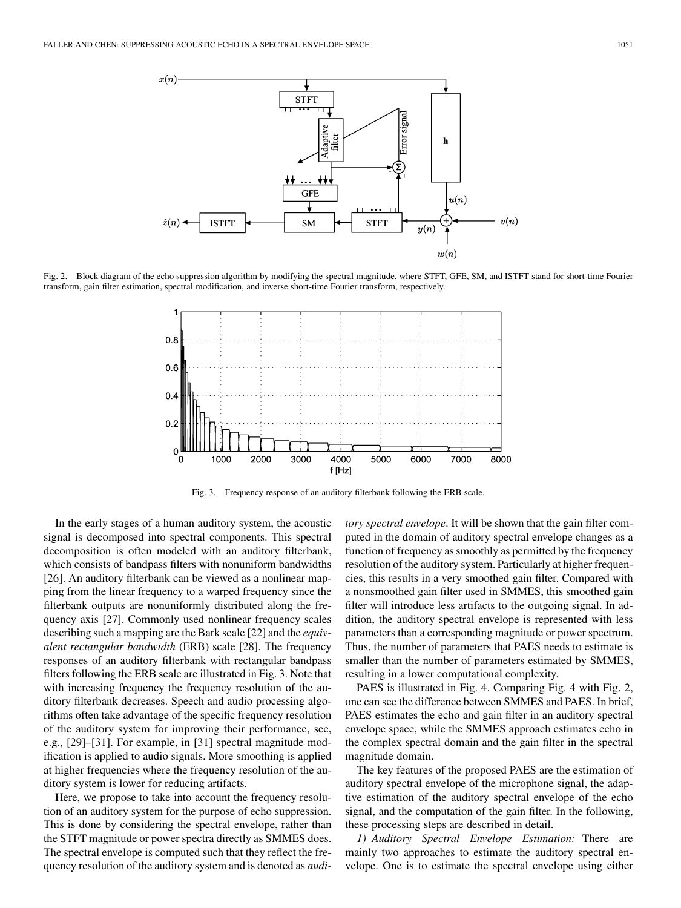

Fig. 2. Block diagram of the echo suppression algorithm by modifying the spectral magnitude, where STFT, GFE, SM, and ISTFT stand for short-time Fourier transform, gain filter estimation, spectral modification, and inverse short-time Fourier transform, respectively.



Fig. 3. Frequency response of an auditory filterbank following the ERB scale.

In the early stages of a human auditory system, the acoustic signal is decomposed into spectral components. This spectral decomposition is often modeled with an auditory filterbank, which consists of bandpass filters with nonuniform bandwidths [\[26](#page-13-0)]. An auditory filterbank can be viewed as a nonlinear mapping from the linear frequency to a warped frequency since the filterbank outputs are nonuniformly distributed along the frequency axis [[27\]](#page-13-0). Commonly used nonlinear frequency scales describing such a mapping are the Bark scale [[22\]](#page-13-0) and the *equivalent rectangular bandwidth* (ERB) scale [[28\]](#page-13-0). The frequency responses of an auditory filterbank with rectangular bandpass filters following the ERB scale are illustrated in Fig. 3. Note that with increasing frequency the frequency resolution of the auditory filterbank decreases. Speech and audio processing algorithms often take advantage of the specific frequency resolution of the auditory system for improving their performance, see, e.g., [\[29](#page-13-0)]–[\[31\]](#page-13-0). For example, in [\[31](#page-13-0)] spectral magnitude modification is applied to audio signals. More smoothing is applied at higher frequencies where the frequency resolution of the auditory system is lower for reducing artifacts.

Here, we propose to take into account the frequency resolution of an auditory system for the purpose of echo suppression. This is done by considering the spectral envelope, rather than the STFT magnitude or power spectra directly as SMMES does. The spectral envelope is computed such that they reflect the frequency resolution of the auditory system and is denoted as *audi-* *tory spectral envelope*. It will be shown that the gain filter computed in the domain of auditory spectral envelope changes as a function of frequency as smoothly as permitted by the frequency resolution of the auditory system. Particularly at higher frequencies, this results in a very smoothed gain filter. Compared with a nonsmoothed gain filter used in SMMES, this smoothed gain filter will introduce less artifacts to the outgoing signal. In addition, the auditory spectral envelope is represented with less parameters than a corresponding magnitude or power spectrum. Thus, the number of parameters that PAES needs to estimate is smaller than the number of parameters estimated by SMMES, resulting in a lower computational complexity.

PAES is illustrated in Fig. 4. Comparing Fig. 4 with Fig. 2, one can see the difference between SMMES and PAES. In brief, PAES estimates the echo and gain filter in an auditory spectral envelope space, while the SMMES approach estimates echo in the complex spectral domain and the gain filter in the spectral magnitude domain.

The key features of the proposed PAES are the estimation of auditory spectral envelope of the microphone signal, the adaptive estimation of the auditory spectral envelope of the echo signal, and the computation of the gain filter. In the following, these processing steps are described in detail.

*1) Auditory Spectral Envelope Estimation:* There are mainly two approaches to estimate the auditory spectral envelope. One is to estimate the spectral envelope using either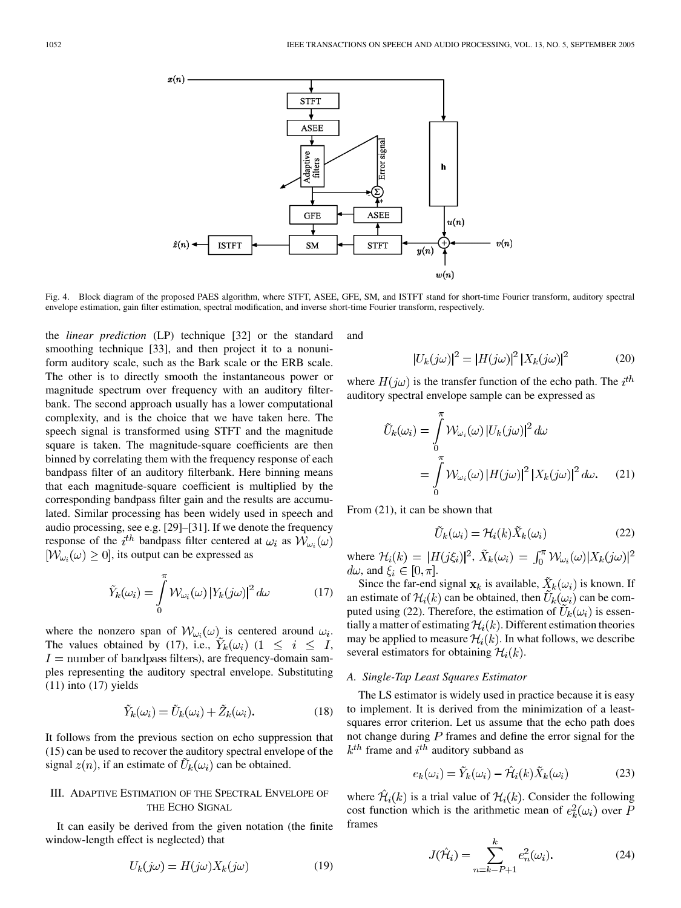

Fig. 4. Block diagram of the proposed PAES algorithm, where STFT, ASEE, GFE, SM, and ISTFT stand for short-time Fourier transform, auditory spectral envelope estimation, gain filter estimation, spectral modification, and inverse short-time Fourier transform, respectively.

the *linear prediction* (LP) technique [[32\]](#page-13-0) or the standard smoothing technique [\[33](#page-13-0)], and then project it to a nonuniform auditory scale, such as the Bark scale or the ERB scale. The other is to directly smooth the instantaneous power or magnitude spectrum over frequency with an auditory filterbank. The second approach usually has a lower computational complexity, and is the choice that we have taken here. The speech signal is transformed using STFT and the magnitude square is taken. The magnitude-square coefficients are then binned by correlating them with the frequency response of each bandpass filter of an auditory filterbank. Here binning means that each magnitude-square coefficient is multiplied by the corresponding bandpass filter gain and the results are accumulated. Similar processing has been widely used in speech and audio processing, see e.g. [[29\]](#page-13-0)–[\[31](#page-13-0)]. If we denote the frequency response of the i<sup>th</sup> bandpass filter centered at  $\omega_i$  as  $\mathcal{W}_{\omega_i}(\omega)$  $[W_{\omega_i}(\omega) \geq 0]$ , its output can be expressed as

$$
\tilde{Y}_k(\omega_i) = \int_0^{\pi} \mathcal{W}_{\omega_i}(\omega) \left| Y_k(j\omega) \right|^2 d\omega \tag{17}
$$

where the nonzero span of  $W_{\omega_i}(\omega)$  is centered around  $\omega_i$ . The values obtained by (17), i.e.,  $\tilde{Y}_k(\omega_i)$  (1  $\leq i \leq I$ ,  $I =$  number of bandpass filters), are frequency-domain samples representing the auditory spectral envelope. Substituting  $(11)$  into  $(17)$  yields

$$
\tilde{Y}_k(\omega_i) = \tilde{U}_k(\omega_i) + \tilde{Z}_k(\omega_i). \tag{18}
$$

It follows from the previous section on echo suppression that (15) can be used to recover the auditory spectral envelope of the signal  $z(n)$ , if an estimate of  $U_k(\omega_i)$  can be obtained.

# III. ADAPTIVE ESTIMATION OF THE SPECTRAL ENVELOPE OF THE ECHO SIGNAL

It can easily be derived from the given notation (the finite window-length effect is neglected) that

$$
U_k(j\omega) = H(j\omega)X_k(j\omega)
$$
\n(19)

and

$$
\left|U_k(j\omega)\right|^2 = \left|H(j\omega)\right|^2 \left|X_k(j\omega)\right|^2\tag{20}
$$

where  $H(j\omega)$  is the transfer function of the echo path. The  $i^{th}$ auditory spectral envelope sample can be expressed as

$$
\tilde{U}_k(\omega_i) = \int_0^{\pi} \mathcal{W}_{\omega_i}(\omega) |U_k(j\omega)|^2 d\omega
$$

$$
= \int_0^{\pi} \mathcal{W}_{\omega_i}(\omega) |H(j\omega)|^2 |X_k(j\omega)|^2 d\omega. \tag{21}
$$

From (21), it can be shown that

$$
\tilde{U}_k(\omega_i) = \mathcal{H}_i(k)\tilde{X}_k(\omega_i)
$$
\n(22)

where  $\mathcal{H}_i(k) = |H(j\xi_i)|^2$ ,  $\tilde{X}_k(\omega_i) = \int_0^{\pi} \mathcal{W}_{\omega_i}(\omega) |X_k(j\omega)|^2$  $d\omega$ , and  $\xi_i \in [0, \pi]$ .

Since the far-end signal  $x_k$  is available,  $\ddot{X}_k(\omega_i)$  is known. If an estimate of  $\mathcal{H}_i(k)$  can be obtained, then  $\tilde{U}_k(\omega_i)$  can be computed using (22). Therefore, the estimation of  $\tilde{U}_k(\omega_i)$  is essentially a matter of estimating  $\mathcal{H}_i(k)$ . Different estimation theories may be applied to measure  $\mathcal{H}_i(k)$ . In what follows, we describe several estimators for obtaining  $\mathcal{H}_i(k)$ .

#### *A. Single-Tap Least Squares Estimator*

The LS estimator is widely used in practice because it is easy to implement. It is derived from the minimization of a leastsquares error criterion. Let us assume that the echo path does not change during  $P$  frames and define the error signal for the  $k^{th}$  frame and  $i^{th}$  auditory subband as

$$
e_k(\omega_i) = \tilde{Y}_k(\omega_i) - \hat{\mathcal{H}}_i(k)\tilde{X}_k(\omega_i)
$$
 (23)

where  $\mathcal{H}_i(k)$  is a trial value of  $\mathcal{H}_i(k)$ . Consider the following cost function which is the arithmetic mean of  $e_k^2(\omega_i)$  over P frames

$$
J(\hat{\mathcal{H}}_i) = \sum_{n=k-P+1}^{k} e_n^2(\omega_i).
$$
 (24)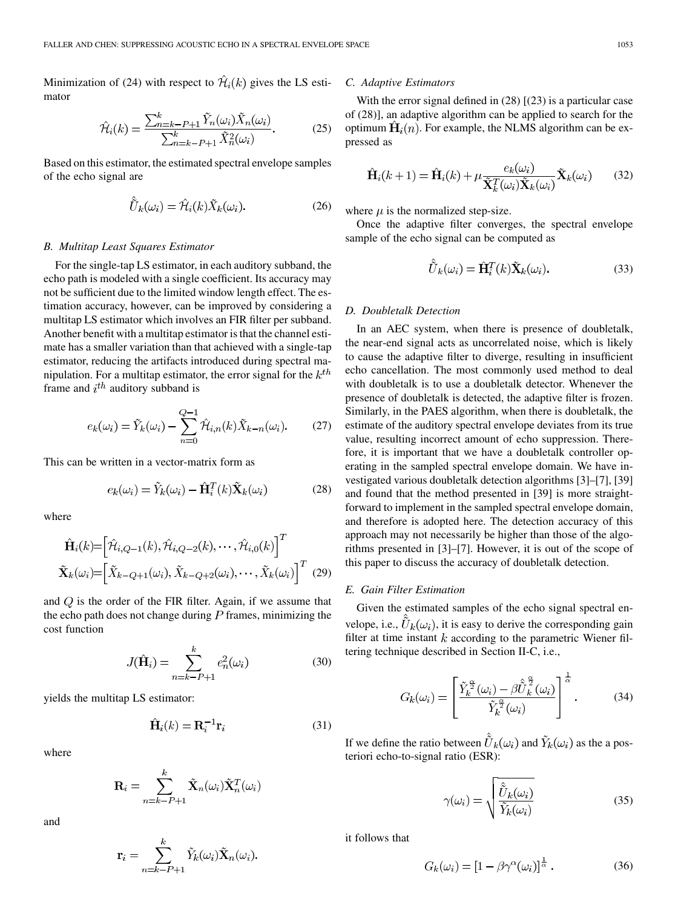Minimization of (24) with respect to  $\hat{\mathcal{H}}_i(k)$  gives the LS estimator

$$
\hat{\mathcal{H}}_i(k) = \frac{\sum_{n=k-P+1}^k \tilde{Y}_n(\omega_i) \tilde{X}_n(\omega_i)}{\sum_{n=k-P+1}^k \tilde{X}_n^2(\omega_i)}.
$$
 (25)

Based on this estimator, the estimated spectral envelope samples of the echo signal are

$$
\tilde{\hat{U}}_k(\omega_i) = \hat{\mathcal{H}}_i(k)\tilde{X}_k(\omega_i). \tag{26}
$$

#### *B. Multitap Least Squares Estimator*

For the single-tap LS estimator, in each auditory subband, the echo path is modeled with a single coefficient. Its accuracy may not be sufficient due to the limited window length effect. The estimation accuracy, however, can be improved by considering a multitap LS estimator which involves an FIR filter per subband. Another benefit with a multitap estimator is that the channel estimate has a smaller variation than that achieved with a single-tap estimator, reducing the artifacts introduced during spectral manipulation. For a multitap estimator, the error signal for the  $k^{th}$ frame and  $i^{th}$  auditory subband is

$$
e_k(\omega_i) = \tilde{Y}_k(\omega_i) - \sum_{n=0}^{Q-1} \hat{\mathcal{H}}_{i,n}(k)\tilde{X}_{k-n}(\omega_i). \tag{27}
$$

This can be written in a vector-matrix form as

$$
e_k(\omega_i) = \tilde{Y}_k(\omega_i) - \hat{H}_i^T(k)\tilde{X}_k(\omega_i)
$$
 (28)

where

$$
\hat{\mathbf{H}}_i(k) = \left[\hat{\mathcal{H}}_{i,Q-1}(k), \hat{\mathcal{H}}_{i,Q-2}(k), \cdots, \hat{\mathcal{H}}_{i,0}(k)\right]^T
$$
\n
$$
\tilde{\mathbf{X}}_k(\omega_i) = \left[\tilde{X}_{k-Q+1}(\omega_i), \tilde{X}_{k-Q+2}(\omega_i), \cdots, \tilde{X}_k(\omega_i)\right]^T \tag{29}
$$

and  $Q$  is the order of the FIR filter. Again, if we assume that the echo path does not change during  $P$  frames, minimizing the cost function

$$
J(\hat{\mathbf{H}}_i) = \sum_{n=k-P+1}^{k} e_n^2(\omega_i)
$$
 (30)

yields the multitap LS estimator:

$$
\hat{\mathbf{H}}_i(k) = \mathbf{R}_i^{-1} \mathbf{r}_i \tag{31}
$$

where

$$
\mathbf{R}_i = \sum_{n=k-P+1}^k \tilde{\mathbf{X}}_n(\omega_i) \tilde{\mathbf{X}}_n^T(\omega_i)
$$

and

$$
\mathbf{r}_{i} = \sum_{n=k-P+1}^{k} \tilde{Y}_{k}(\omega_{i}) \tilde{\mathbf{X}}_{n}(\omega_{i}).
$$

## *C. Adaptive Estimators*

With the error signal defined in (28) [(23) is a particular case of (28)], an adaptive algorithm can be applied to search for the optimum  $\hat{H}_i(n)$ . For example, the NLMS algorithm can be expressed as

$$
\hat{\mathbf{H}}_i(k+1) = \hat{\mathbf{H}}_i(k) + \mu \frac{e_k(\omega_i)}{\tilde{\mathbf{X}}_k^T(\omega_i)\tilde{\mathbf{X}}_k(\omega_i)} \tilde{\mathbf{X}}_k(\omega_i)
$$
(32)

where  $\mu$  is the normalized step-size.

Once the adaptive filter converges, the spectral envelope sample of the echo signal can be computed as

$$
\tilde{\hat{U}}_k(\omega_i) = \hat{\mathbf{H}}_i^T(k)\tilde{\mathbf{X}}_k(\omega_i). \tag{33}
$$

 $\omega = \omega$ 

#### *D. Doubletalk Detection*

In an AEC system, when there is presence of doubletalk, the near-end signal acts as uncorrelated noise, which is likely to cause the adaptive filter to diverge, resulting in insufficient echo cancellation. The most commonly used method to deal with doubletalk is to use a doubletalk detector. Whenever the presence of doubletalk is detected, the adaptive filter is frozen. Similarly, in the PAES algorithm, when there is doubletalk, the estimate of the auditory spectral envelope deviates from its true value, resulting incorrect amount of echo suppression. Therefore, it is important that we have a doubletalk controller operating in the sampled spectral envelope domain. We have investigated various doubletalk detection algorithms [[3\]](#page-13-0)–[[7\]](#page-13-0), [[39\]](#page-13-0) and found that the method presented in [\[39](#page-13-0)] is more straightforward to implement in the sampled spectral envelope domain, and therefore is adopted here. The detection accuracy of this approach may not necessarily be higher than those of the algorithms presented in [\[3](#page-13-0)]–[[7\]](#page-13-0). However, it is out of the scope of this paper to discuss the accuracy of doubletalk detection.

#### *E. Gain Filter Estimation*

Given the estimated samples of the echo signal spectral envelope, i.e.,  $\tilde{U}_k(\omega_i)$ , it is easy to derive the corresponding gain filter at time instant  $k$  according to the parametric Wiener filtering technique described in Section II-C, i.e.,

$$
G_k(\omega_i) = \left[ \frac{\tilde{Y}_k^{\frac{\alpha}{2}}(\omega_i) - \beta \hat{\tilde{U}}_k^{\frac{\alpha}{2}}(\omega_i)}{\tilde{Y}_k^{\frac{\alpha}{2}}(\omega_i)} \right]^{\frac{1}{\alpha}}.
$$
 (34)

If we define the ratio between  $\tilde{U}_k(\omega_i)$  and  $\tilde{Y}_k(\omega_i)$  as the a posteriori echo-to-signal ratio (ESR):

$$
\gamma(\omega_i) = \sqrt{\frac{\hat{\tilde{U}}_k(\omega_i)}{\tilde{Y}_k(\omega_i)}}
$$
(35)

it follows that

$$
G_k(\omega_i) = \left[1 - \beta \gamma^{\alpha}(\omega_i)\right]^{\frac{1}{\alpha}}.
$$
 (36)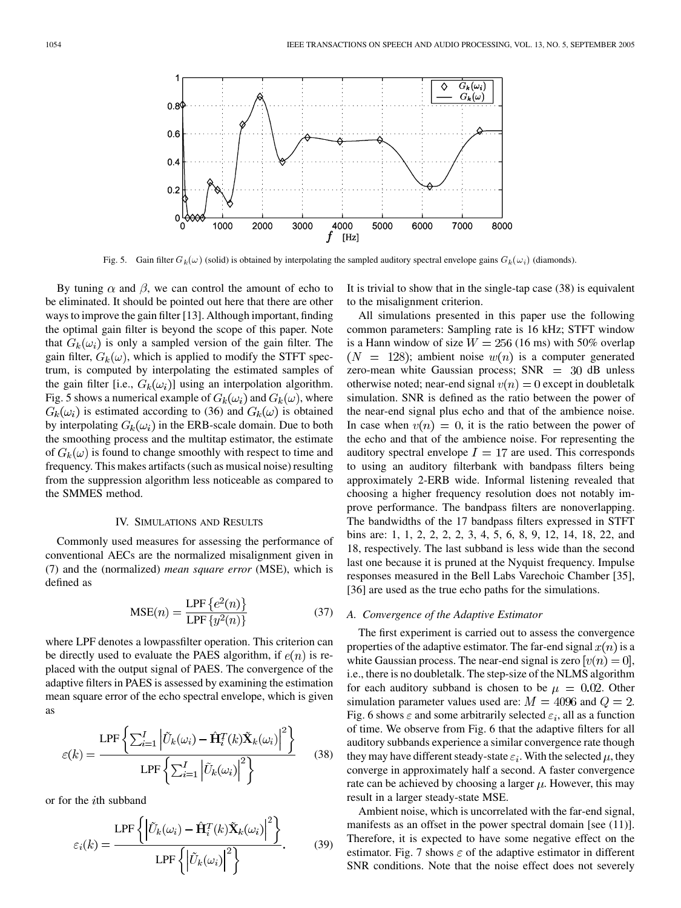

Fig. 5. Gain filter  $G_k(\omega)$  (solid) is obtained by interpolating the sampled auditory spectral envelope gains  $G_k(\omega_i)$  (diamonds).

By tuning  $\alpha$  and  $\beta$ , we can control the amount of echo to be eliminated. It should be pointed out here that there are other ways to improve the gain filter [[13\]](#page-13-0). Although important, finding the optimal gain filter is beyond the scope of this paper. Note that  $G_k(\omega_i)$  is only a sampled version of the gain filter. The gain filter,  $G_k(\omega)$ , which is applied to modify the STFT spectrum, is computed by interpolating the estimated samples of the gain filter [i.e.,  $G_k(\omega_i)$ ] using an interpolation algorithm. Fig. 5 shows a numerical example of  $G_k(\omega_i)$  and  $G_k(\omega)$ , where  $G_k(\omega_i)$  is estimated according to (36) and  $G_k(\omega)$  is obtained by interpolating  $G_k(\omega_i)$  in the ERB-scale domain. Due to both the smoothing process and the multitap estimator, the estimate of  $G_k(\omega)$  is found to change smoothly with respect to time and frequency. This makes artifacts (such as musical noise) resulting from the suppression algorithm less noticeable as compared to the SMMES method.

## IV. SIMULATIONS AND RESULTS

Commonly used measures for assessing the performance of conventional AECs are the normalized misalignment given in (7) and the (normalized) *mean square error* (MSE), which is defined as

$$
MSE(n) = \frac{\text{LPF}\left\{e^2(n)\right\}}{\text{LPF}\left\{y^2(n)\right\}}\tag{37}
$$

where LPF denotes a lowpassfilter operation. This criterion can be directly used to evaluate the PAES algorithm, if  $e(n)$  is replaced with the output signal of PAES. The convergence of the adaptive filters in PAES is assessed by examining the estimation mean square error of the echo spectral envelope, which is given as

$$
\varepsilon(k) = \frac{\text{LPF}\left\{\sum_{i=1}^{I} \left|\tilde{U}_k(\omega_i) - \hat{\mathbf{H}}_i^T(k)\tilde{\mathbf{X}}_k(\omega_i)\right|^2\right\}}{\text{LPF}\left\{\sum_{i=1}^{I} \left|\tilde{U}_k(\omega_i)\right|^2\right\}} \tag{38}
$$

or for the *i*th subband

$$
\varepsilon_i(k) = \frac{\text{LPF}\left\{ \left| \tilde{U}_k(\omega_i) - \hat{\mathbf{H}}_i^T(k)\tilde{\mathbf{X}}_k(\omega_i) \right|^2 \right\}}{\text{LPF}\left\{ \left| \tilde{U}_k(\omega_i) \right|^2 \right\}}.
$$
 (39)

It is trivial to show that in the single-tap case (38) is equivalent to the misalignment criterion.

All simulations presented in this paper use the following common parameters: Sampling rate is 16 kHz; STFT window is a Hann window of size  $W = 256$  (16 ms) with 50% overlap  $(N = 128)$ ; ambient noise  $w(n)$  is a computer generated zero-mean white Gaussian process;  $SNR = 30$  dB unless otherwise noted; near-end signal  $v(n) = 0$  except in doubletalk simulation. SNR is defined as the ratio between the power of the near-end signal plus echo and that of the ambience noise. In case when  $v(n) = 0$ , it is the ratio between the power of the echo and that of the ambience noise. For representing the auditory spectral envelope  $I = 17$  are used. This corresponds to using an auditory filterbank with bandpass filters being approximately 2-ERB wide. Informal listening revealed that choosing a higher frequency resolution does not notably improve performance. The bandpass filters are nonoverlapping. The bandwidths of the 17 bandpass filters expressed in STFT bins are: 1, 1, 2, 2, 2, 2, 3, 4, 5, 6, 8, 9, 12, 14, 18, 22, and 18, respectively. The last subband is less wide than the second last one because it is pruned at the Nyquist frequency. Impulse responses measured in the Bell Labs Varechoic Chamber [[35\]](#page-13-0), [[36\]](#page-13-0) are used as the true echo paths for the simulations.

#### *A. Convergence of the Adaptive Estimator*

The first experiment is carried out to assess the convergence properties of the adaptive estimator. The far-end signal  $x(n)$  is a white Gaussian process. The near-end signal is zero  $[v(n) = 0]$ , i.e., there is no doubletalk. The step-size of the NLMS algorithm for each auditory subband is chosen to be  $\mu = 0.02$ . Other simulation parameter values used are:  $M = 4096$  and  $Q = 2$ . Fig. 6 shows  $\varepsilon$  and some arbitrarily selected  $\varepsilon_i$ , all as a function of time. We observe from Fig. 6 that the adaptive filters for all auditory subbands experience a similar convergence rate though they may have different steady-state  $\varepsilon_i$ . With the selected  $\mu$ , they converge in approximately half a second. A faster convergence rate can be achieved by choosing a larger  $\mu$ . However, this may result in a larger steady-state MSE.

Ambient noise, which is uncorrelated with the far-end signal, manifests as an offset in the power spectral domain [see (11)]. Therefore, it is expected to have some negative effect on the estimator. Fig. 7 shows  $\varepsilon$  of the adaptive estimator in different SNR conditions. Note that the noise effect does not severely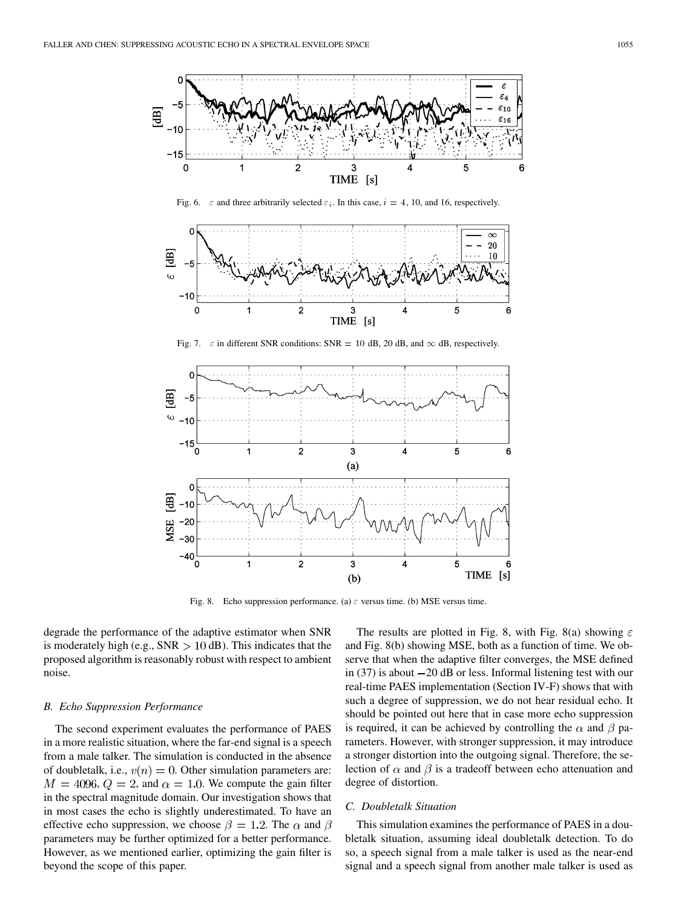

Fig. 6.  $\varepsilon$  and three arbitrarily selected  $\varepsilon_i$ . In this case,  $i = 4, 10$ , and 16, respectively.



Fig. 7.  $\varepsilon$  in different SNR conditions: SNR = 10 dB, 20 dB, and  $\infty$  dB, respectively.



Fig. 8. Echo suppression performance. (a)  $\varepsilon$  versus time. (b) MSE versus time.

degrade the performance of the adaptive estimator when SNR is moderately high (e.g.,  $SNR > 10$  dB). This indicates that the proposed algorithm is reasonably robust with respect to ambient noise.

## *B. Echo Suppression Performance*

The second experiment evaluates the performance of PAES in a more realistic situation, where the far-end signal is a speech from a male talker. The simulation is conducted in the absence of doubletalk, i.e.,  $v(n) = 0$ . Other simulation parameters are:  $M = 4096, Q = 2$ , and  $\alpha = 1.0$ . We compute the gain filter in the spectral magnitude domain. Our investigation shows that in most cases the echo is slightly underestimated. To have an effective echo suppression, we choose  $\beta = 1.2$ . The  $\alpha$  and  $\beta$ parameters may be further optimized for a better performance. However, as we mentioned earlier, optimizing the gain filter is beyond the scope of this paper.

The results are plotted in Fig. 8, with Fig. 8(a) showing  $\varepsilon$ and Fig. 8(b) showing MSE, both as a function of time. We observe that when the adaptive filter converges, the MSE defined in  $(37)$  is about  $-20$  dB or less. Informal listening test with our real-time PAES implementation (Section IV-F) shows that with such a degree of suppression, we do not hear residual echo. It should be pointed out here that in case more echo suppression is required, it can be achieved by controlling the  $\alpha$  and  $\beta$  parameters. However, with stronger suppression, it may introduce a stronger distortion into the outgoing signal. Therefore, the selection of  $\alpha$  and  $\beta$  is a tradeoff between echo attenuation and degree of distortion.

## *C. Doubletalk Situation*

This simulation examines the performance of PAES in a doubletalk situation, assuming ideal doubletalk detection. To do so, a speech signal from a male talker is used as the near-end signal and a speech signal from another male talker is used as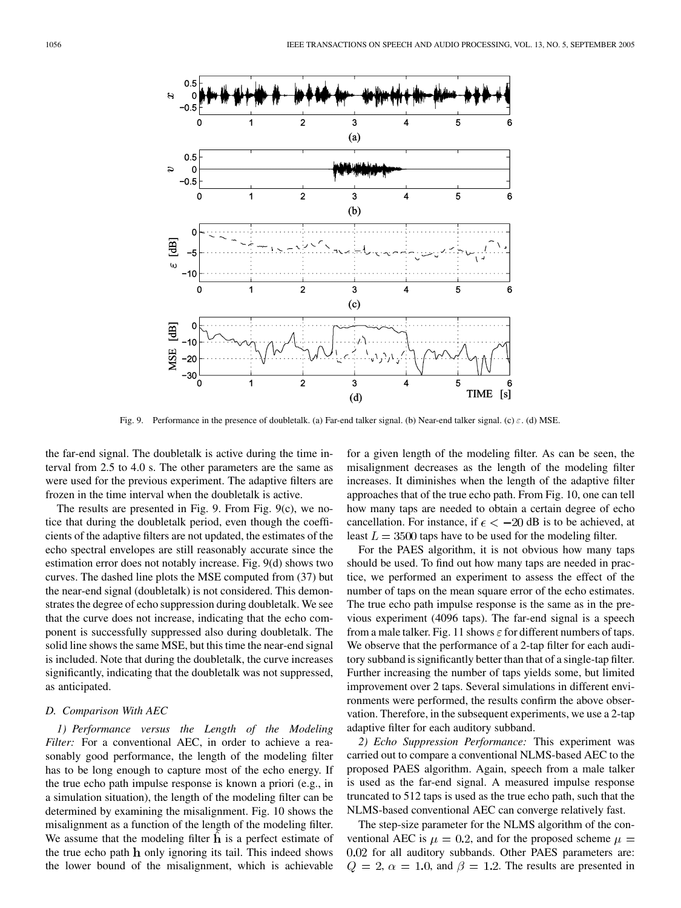

Fig. 9. Performance in the presence of doubletalk. (a) Far-end talker signal. (b) Near-end talker signal. (c)  $\varepsilon$ . (d) MSE.

the far-end signal. The doubletalk is active during the time interval from 2.5 to 4.0 s. The other parameters are the same as were used for the previous experiment. The adaptive filters are frozen in the time interval when the doubletalk is active.

The results are presented in Fig. 9. From Fig. 9(c), we notice that during the doubletalk period, even though the coefficients of the adaptive filters are not updated, the estimates of the echo spectral envelopes are still reasonably accurate since the estimation error does not notably increase. Fig. 9(d) shows two curves. The dashed line plots the MSE computed from (37) but the near-end signal (doubletalk) is not considered. This demonstrates the degree of echo suppression during doubletalk. We see that the curve does not increase, indicating that the echo component is successfully suppressed also during doubletalk. The solid line shows the same MSE, but this time the near-end signal is included. Note that during the doubletalk, the curve increases significantly, indicating that the doubletalk was not suppressed, as anticipated.

## *D. Comparison With AEC*

*1) Performance versus the Length of the Modeling Filter:* For a conventional AEC, in order to achieve a reasonably good performance, the length of the modeling filter has to be long enough to capture most of the echo energy. If the true echo path impulse response is known a priori (e.g., in a simulation situation), the length of the modeling filter can be determined by examining the misalignment. Fig. 10 shows the misalignment as a function of the length of the modeling filter. We assume that the modeling filter  $h$  is a perfect estimate of the true echo path  $h$  only ignoring its tail. This indeed shows the lower bound of the misalignment, which is achievable

for a given length of the modeling filter. As can be seen, the misalignment decreases as the length of the modeling filter increases. It diminishes when the length of the adaptive filter approaches that of the true echo path. From Fig. 10, one can tell how many taps are needed to obtain a certain degree of echo cancellation. For instance, if  $\epsilon < -20$  dB is to be achieved, at least  $L = 3500$  taps have to be used for the modeling filter.

For the PAES algorithm, it is not obvious how many taps should be used. To find out how many taps are needed in practice, we performed an experiment to assess the effect of the number of taps on the mean square error of the echo estimates. The true echo path impulse response is the same as in the previous experiment (4096 taps). The far-end signal is a speech from a male talker. Fig. 11 shows  $\varepsilon$  for different numbers of taps. We observe that the performance of a 2-tap filter for each auditory subband is significantly better than that of a single-tap filter. Further increasing the number of taps yields some, but limited improvement over 2 taps. Several simulations in different environments were performed, the results confirm the above observation. Therefore, in the subsequent experiments, we use a 2-tap adaptive filter for each auditory subband.

*2) Echo Suppression Performance:* This experiment was carried out to compare a conventional NLMS-based AEC to the proposed PAES algorithm. Again, speech from a male talker is used as the far-end signal. A measured impulse response truncated to 512 taps is used as the true echo path, such that the NLMS-based conventional AEC can converge relatively fast.

The step-size parameter for the NLMS algorithm of the conventional AEC is  $\mu = 0.2$ , and for the proposed scheme  $\mu =$ 0.02 for all auditory subbands. Other PAES parameters are:  $Q = 2$ ,  $\alpha = 1.0$ , and  $\beta = 1.2$ . The results are presented in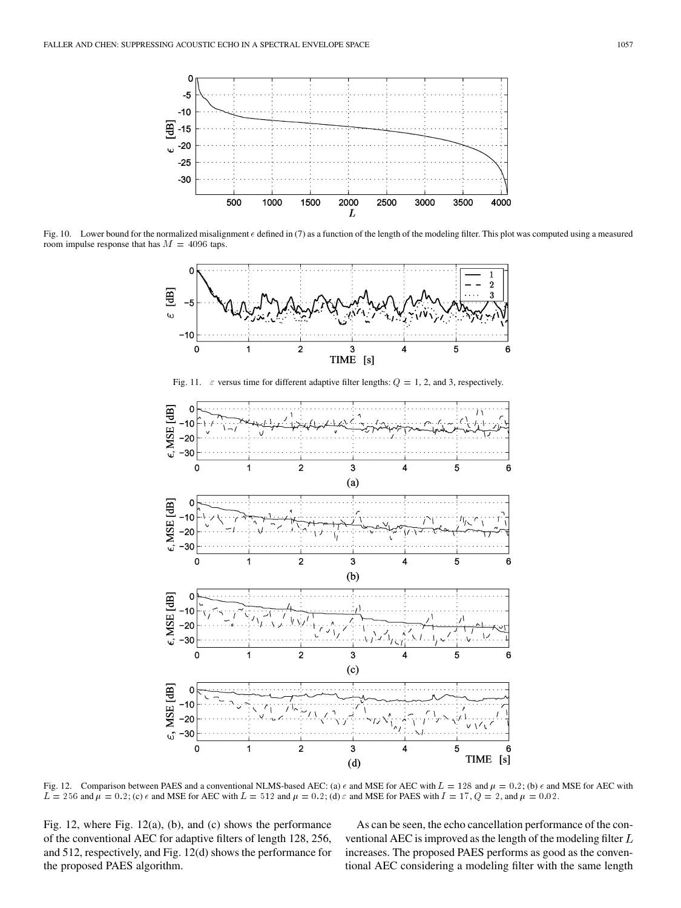

Fig. 10. Lower bound for the normalized misalignment  $\epsilon$  defined in (7) as a function of the length of the modeling filter. This plot was computed using a measured room impulse response that has  $M = 4096$  taps.



Fig. 12. Comparison between PAES and a conventional NLMS-based AEC: (a)  $\epsilon$  and MSE for AEC with  $L = 128$  and  $\mu = 0.2$ ; (b)  $\epsilon$  and MSE for AEC with  $L = 256$  and  $\mu = 0.2$ ; (c)  $\epsilon$  and MSE for AEC with  $L = 512$  and  $\mu = 0.2$ ; (d)  $\epsilon$  and MSE for PAES with  $I = 17$ ,  $Q = 2$ , and  $\mu = 0.02$ .

Fig. 12, where Fig. 12(a), (b), and (c) shows the performance of the conventional AEC for adaptive filters of length 128, 256, and 512, respectively, and Fig. 12(d) shows the performance for the proposed PAES algorithm.

As can be seen, the echo cancellation performance of the conventional AEC is improved as the length of the modeling filter  $L$ increases. The proposed PAES performs as good as the conventional AEC considering a modeling filter with the same length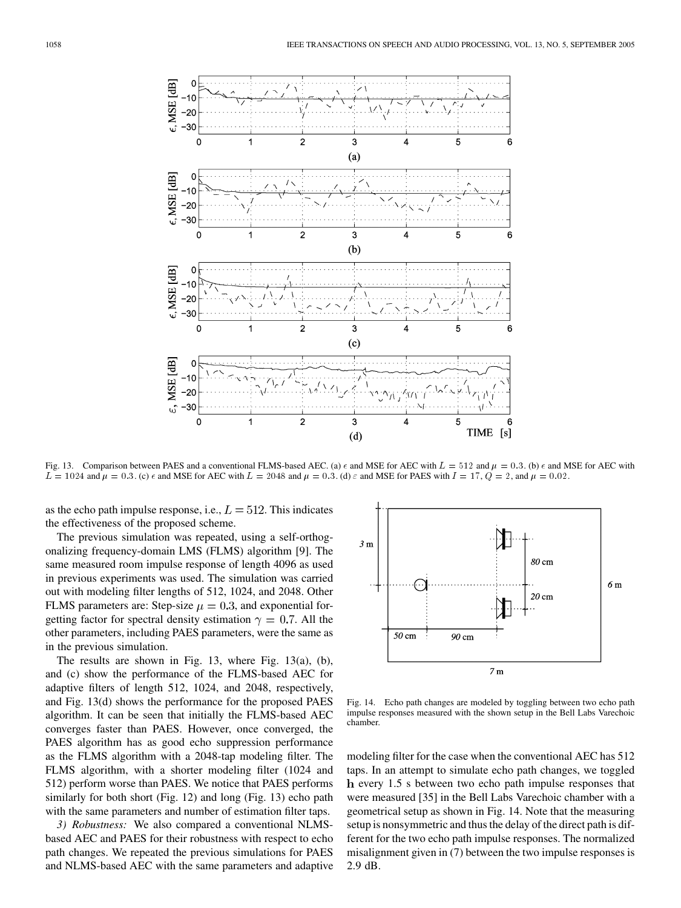

Fig. 13. Comparison between PAES and a conventional FLMS-based AEC. (a)  $\epsilon$  and MSE for AEC with  $L = 512$  and  $\mu = 0.3$ . (b)  $\epsilon$  and MSE for AEC with  $L = 1024$  and  $\mu = 0.3$ . (c)  $\epsilon$  and MSE for AEC with  $L = 2048$  and  $\mu = 0.3$ . (d)  $\epsilon$  and MSE for PAES with  $I = 17$ ,  $Q = 2$ , and  $\mu = 0.02$ .

as the echo path impulse response, i.e.,  $L = 512$ . This indicates the effectiveness of the proposed scheme.

The previous simulation was repeated, using a self-orthogonalizing frequency-domain LMS (FLMS) algorithm [\[9](#page-13-0)]. The same measured room impulse response of length 4096 as used in previous experiments was used. The simulation was carried out with modeling filter lengths of 512, 1024, and 2048. Other FLMS parameters are: Step-size  $\mu = 0.3$ , and exponential forgetting factor for spectral density estimation  $\gamma = 0.7$ . All the other parameters, including PAES parameters, were the same as in the previous simulation.

The results are shown in Fig. 13, where Fig. 13(a), (b), and (c) show the performance of the FLMS-based AEC for adaptive filters of length 512, 1024, and 2048, respectively, and Fig. 13(d) shows the performance for the proposed PAES algorithm. It can be seen that initially the FLMS-based AEC converges faster than PAES. However, once converged, the PAES algorithm has as good echo suppression performance as the FLMS algorithm with a 2048-tap modeling filter. The FLMS algorithm, with a shorter modeling filter (1024 and 512) perform worse than PAES. We notice that PAES performs similarly for both short (Fig. 12) and long (Fig. 13) echo path with the same parameters and number of estimation filter taps.

*3) Robustness:* We also compared a conventional NLMSbased AEC and PAES for their robustness with respect to echo path changes. We repeated the previous simulations for PAES and NLMS-based AEC with the same parameters and adaptive



Fig. 14. Echo path changes are modeled by toggling between two echo path impulse responses measured with the shown setup in the Bell Labs Varechoic chamber.

modeling filter for the case when the conventional AEC has 512 taps. In an attempt to simulate echo path changes, we toggled every 1.5 s between two echo path impulse responses that were measured [\[35](#page-13-0)] in the Bell Labs Varechoic chamber with a geometrical setup as shown in Fig. 14. Note that the measuring setup is nonsymmetric and thus the delay of the direct path is different for the two echo path impulse responses. The normalized misalignment given in (7) between the two impulse responses is 2.9 dB.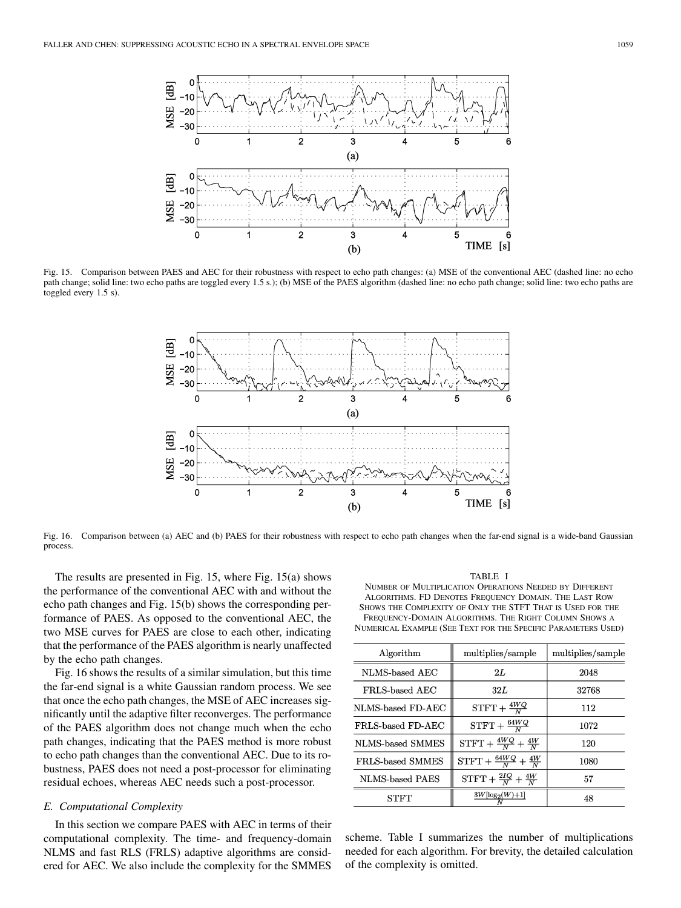

Fig. 15. Comparison between PAES and AEC for their robustness with respect to echo path changes: (a) MSE of the conventional AEC (dashed line: no echo path change; solid line: two echo paths are toggled every 1.5 s.); (b) MSE of the PAES algorithm (dashed line: no echo path change; solid line: two echo paths are toggled every 1.5 s).



Fig. 16. Comparison between (a) AEC and (b) PAES for their robustness with respect to echo path changes when the far-end signal is a wide-band Gaussian process.

The results are presented in Fig. 15, where Fig. 15(a) shows the performance of the conventional AEC with and without the echo path changes and Fig. 15(b) shows the corresponding performance of PAES. As opposed to the conventional AEC, the two MSE curves for PAES are close to each other, indicating that the performance of the PAES algorithm is nearly unaffected by the echo path changes.

Fig. 16 shows the results of a similar simulation, but this time the far-end signal is a white Gaussian random process. We see that once the echo path changes, the MSE of AEC increases significantly until the adaptive filter reconverges. The performance of the PAES algorithm does not change much when the echo path changes, indicating that the PAES method is more robust to echo path changes than the conventional AEC. Due to its robustness, PAES does not need a post-processor for eliminating residual echoes, whereas AEC needs such a post-processor.

## *E. Computational Complexity*

In this section we compare PAES with AEC in terms of their computational complexity. The time- and frequency-domain NLMS and fast RLS (FRLS) adaptive algorithms are considered for AEC. We also include the complexity for the SMMES

TABLE I

NUMBER OF MULTIPLICATION OPERATIONS NEEDED BY DIFFERENT ALGORITHMS. FD DENOTES FREQUENCY DOMAIN. THE LAST ROW SHOWS THE COMPLEXITY OF ONLY THE STFT THAT IS USED FOR THE FREQUENCY-DOMAIN ALGORITHMS. THE RIGHT COLUMN SHOWS A NUMERICAL EXAMPLE (SEE TEXT FOR THE SPECIFIC PARAMETERS USED)

| Algorithm               | multiplies/sample                      | multiplies/sample |
|-------------------------|----------------------------------------|-------------------|
| NLMS-based AEC          | 2L                                     | 2048              |
| FRLS-based AEC          | 32L                                    | 32768             |
| NLMS-based FD-AEC       | $STFT + \frac{4WQ}{N}$                 | 112               |
| FRLS-based FD-AEC       | $STFT + \frac{64WQ}{N}$                | 1072              |
| NLMS-based SMMES        | $STFT + \frac{4WQ}{N} + \frac{4W}{N}$  | 120               |
| <b>FRLS-based SMMES</b> | $STFT + \frac{64WQ}{N} + \frac{4W}{N}$ | 1080              |
| NLMS-based PAES         | $STFT + \frac{2IQ}{N} + \frac{4W}{N}$  | 57                |
| STFT                    | $\frac{3W[\log_2(W)+1]}{N}$            | 48                |

scheme. Table I summarizes the number of multiplications needed for each algorithm. For brevity, the detailed calculation of the complexity is omitted.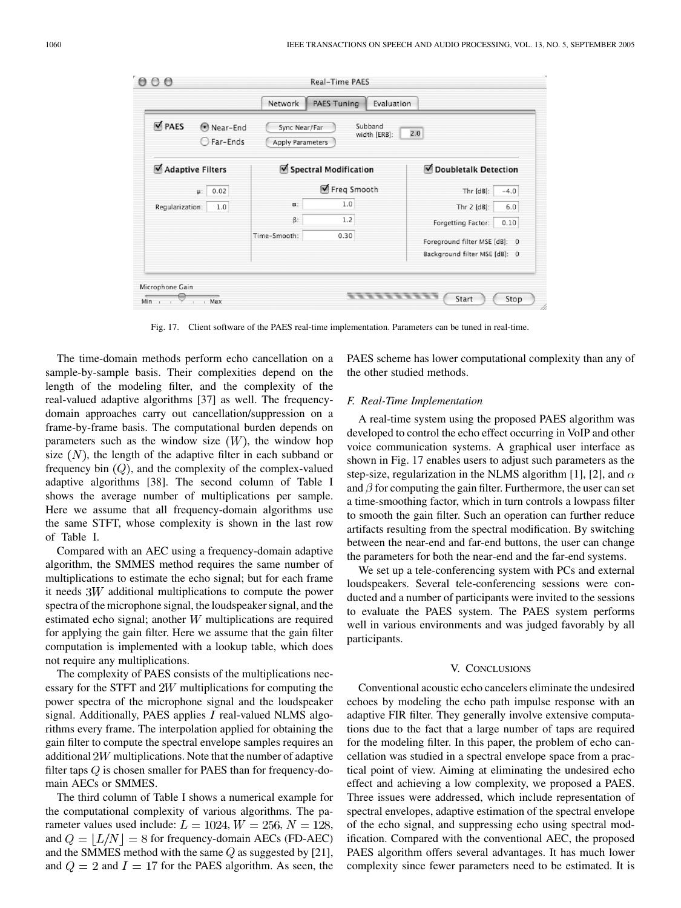| PAES<br>O Near-End<br>◯ Far-Ends | Sync Near/Far<br>Apply Parameters | Subband<br>width [ERB]: | 2.0                                                            |
|----------------------------------|-----------------------------------|-------------------------|----------------------------------------------------------------|
| Adaptive Filters                 |                                   | Spectral Modification   | Doubletalk Detection                                           |
| $\mu$ : 0.02                     |                                   | Freq Smooth             | Thr $[dB]$ :<br>$-4.0$                                         |
| Regularization:<br>1.0           | $\alpha$ :                        | 1.0                     | Thr $2$ [dB]:<br>6.0                                           |
|                                  | $\beta$ :                         | 1.2                     | Forgetting Factor:<br>0.10                                     |
|                                  | Time-Smooth:                      | 0.30                    | Foreground filter MSE [dB]: 0<br>Background filter MSE [dB]: 0 |

Fig. 17. Client software of the PAES real-time implementation. Parameters can be tuned in real-time.

The time-domain methods perform echo cancellation on a sample-by-sample basis. Their complexities depend on the length of the modeling filter, and the complexity of the real-valued adaptive algorithms [\[37](#page-13-0)] as well. The frequencydomain approaches carry out cancellation/suppression on a frame-by-frame basis. The computational burden depends on parameters such as the window size  $(W)$ , the window hop size  $(N)$ , the length of the adaptive filter in each subband or frequency bin  $(Q)$ , and the complexity of the complex-valued adaptive algorithms [\[38](#page-13-0)]. The second column of Table I shows the average number of multiplications per sample. Here we assume that all frequency-domain algorithms use the same STFT, whose complexity is shown in the last row of Table I.

Compared with an AEC using a frequency-domain adaptive algorithm, the SMMES method requires the same number of multiplications to estimate the echo signal; but for each frame it needs  $3W$  additional multiplications to compute the power spectra of the microphone signal, the loudspeaker signal, and the estimated echo signal; another  $W$  multiplications are required for applying the gain filter. Here we assume that the gain filter computation is implemented with a lookup table, which does not require any multiplications.

The complexity of PAES consists of the multiplications necessary for the STFT and  $2W$  multiplications for computing the power spectra of the microphone signal and the loudspeaker signal. Additionally, PAES applies  $I$  real-valued NLMS algorithms every frame. The interpolation applied for obtaining the gain filter to compute the spectral envelope samples requires an additional  $2W$  multiplications. Note that the number of adaptive filter taps  $Q$  is chosen smaller for PAES than for frequency-domain AECs or SMMES.

The third column of Table I shows a numerical example for the computational complexity of various algorithms. The parameter values used include:  $L = 1024, W = 256, N = 128,$ and  $Q = |L/N| = 8$  for frequency-domain AECs (FD-AEC) and the SMMES method with the same  $Q$  as suggested by [[21\]](#page-13-0), and  $Q = 2$  and  $I = 17$  for the PAES algorithm. As seen, the PAES scheme has lower computational complexity than any of the other studied methods.

#### *F. Real-Time Implementation*

A real-time system using the proposed PAES algorithm was developed to control the echo effect occurring in VoIP and other voice communication systems. A graphical user interface as shown in Fig. 17 enables users to adjust such parameters as the step-size, regularization in the NLMS algorithm [\[1](#page-13-0)], [[2\]](#page-13-0), and  $\alpha$ and  $\beta$  for computing the gain filter. Furthermore, the user can set a time-smoothing factor, which in turn controls a lowpass filter to smooth the gain filter. Such an operation can further reduce artifacts resulting from the spectral modification. By switching between the near-end and far-end buttons, the user can change the parameters for both the near-end and the far-end systems.

We set up a tele-conferencing system with PCs and external loudspeakers. Several tele-conferencing sessions were conducted and a number of participants were invited to the sessions to evaluate the PAES system. The PAES system performs well in various environments and was judged favorably by all participants.

## V. CONCLUSIONS

Conventional acoustic echo cancelers eliminate the undesired echoes by modeling the echo path impulse response with an adaptive FIR filter. They generally involve extensive computations due to the fact that a large number of taps are required for the modeling filter. In this paper, the problem of echo cancellation was studied in a spectral envelope space from a practical point of view. Aiming at eliminating the undesired echo effect and achieving a low complexity, we proposed a PAES. Three issues were addressed, which include representation of spectral envelopes, adaptive estimation of the spectral envelope of the echo signal, and suppressing echo using spectral modification. Compared with the conventional AEC, the proposed PAES algorithm offers several advantages. It has much lower complexity since fewer parameters need to be estimated. It is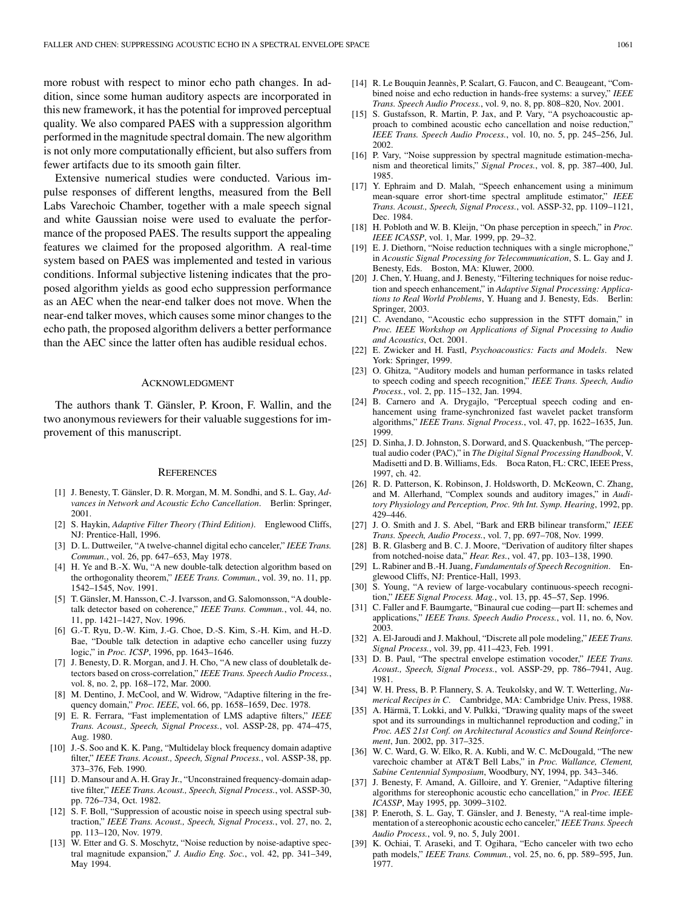<span id="page-13-0"></span>more robust with respect to minor echo path changes. In addition, since some human auditory aspects are incorporated in this new framework, it has the potential for improved perceptual quality. We also compared PAES with a suppression algorithm performed in the magnitude spectral domain. The new algorithm is not only more computationally efficient, but also suffers from fewer artifacts due to its smooth gain filter.

Extensive numerical studies were conducted. Various impulse responses of different lengths, measured from the Bell Labs Varechoic Chamber, together with a male speech signal and white Gaussian noise were used to evaluate the performance of the proposed PAES. The results support the appealing features we claimed for the proposed algorithm. A real-time system based on PAES was implemented and tested in various conditions. Informal subjective listening indicates that the proposed algorithm yields as good echo suppression performance as an AEC when the near-end talker does not move. When the near-end talker moves, which causes some minor changes to the echo path, the proposed algorithm delivers a better performance than the AEC since the latter often has audible residual echos.

#### ACKNOWLEDGMENT

The authors thank T. Gänsler, P. Kroon, F. Wallin, and the two anonymous reviewers for their valuable suggestions for improvement of this manuscript.

### **REFERENCES**

- [1] J. Benesty, T. Gänsler, D. R. Morgan, M. M. Sondhi, and S. L. Gay, *Advances in Network and Acoustic Echo Cancellation*. Berlin: Springer, 2001.
- [2] S. Haykin, *Adaptive Filter Theory (Third Edition)*. Englewood Cliffs, NJ: Prentice-Hall, 1996.
- [3] D. L. Duttweiler, "A twelve-channel digital echo canceler," *IEEE Trans. Commun.*, vol. 26, pp. 647–653, May 1978.
- [4] H. Ye and B.-X. Wu, "A new double-talk detection algorithm based on the orthogonality theorem," *IEEE Trans. Commun.*, vol. 39, no. 11, pp. 1542–1545, Nov. 1991.
- [5] T. Gänsler, M. Hansson, C.-J. Ivarsson, and G. Salomonsson, "A doubletalk detector based on coherence," *IEEE Trans. Commun.*, vol. 44, no. 11, pp. 1421–1427, Nov. 1996.
- [6] G.-T. Ryu, D.-W. Kim, J.-G. Choe, D.-S. Kim, S.-H. Kim, and H.-D. Bae, "Double talk detection in adaptive echo canceller using fuzzy logic," in *Proc. ICSP*, 1996, pp. 1643–1646.
- [7] J. Benesty, D. R. Morgan, and J. H. Cho, "A new class of doubletalk detectors based on cross-correlation," *IEEE Trans. Speech Audio Process.*, vol. 8, no. 2, pp. 168–172, Mar. 2000.
- [8] M. Dentino, J. McCool, and W. Widrow, "Adaptive filtering in the frequency domain," *Proc. IEEE*, vol. 66, pp. 1658–1659, Dec. 1978.
- [9] E. R. Ferrara, "Fast implementation of LMS adaptive filters," *IEEE Trans. Acoust., Speech, Signal Process.*, vol. ASSP-28, pp. 474–475, Aug. 1980.
- [10] J.-S. Soo and K. K. Pang, "Multidelay block frequency domain adaptive filter," *IEEE Trans. Acoust., Speech, Signal Process.*, vol. ASSP-38, pp. 373–376, Feb. 1990.
- [11] D. Mansour and A. H. Gray Jr., "Unconstrained frequency-domain adaptive filter," *IEEE Trans. Acoust., Speech, Signal Process.*, vol. ASSP-30, pp. 726–734, Oct. 1982.
- [12] S. F. Boll, "Suppression of acoustic noise in speech using spectral subtraction," *IEEE Trans. Acoust., Speech, Signal Process.*, vol. 27, no. 2, pp. 113–120, Nov. 1979.
- [13] W. Etter and G. S. Moschytz, "Noise reduction by noise-adaptive spectral magnitude expansion," *J. Audio Eng. Soc.*, vol. 42, pp. 341–349, May 1994.
- [14] R. Le Bouquin Jeannès, P. Scalart, G. Faucon, and C. Beaugeant, "Combined noise and echo reduction in hands-free systems: a survey," *IEEE Trans. Speech Audio Process.*, vol. 9, no. 8, pp. 808–820, Nov. 2001.
- [15] S. Gustafsson, R. Martin, P. Jax, and P. Vary, "A psychoacoustic approach to combined acoustic echo cancellation and noise reduction," *IEEE Trans. Speech Audio Process.*, vol. 10, no. 5, pp. 245–256, Jul. 2002.
- [16] P. Vary, "Noise suppression by spectral magnitude estimation-mechanism and theoretical limits," *Signal Proces.*, vol. 8, pp. 387–400, Jul. 1985.
- [17] Y. Ephraim and D. Malah, "Speech enhancement using a minimum mean-square error short-time spectral amplitude estimator," *IEEE Trans. Acoust., Speech, Signal Process.*, vol. ASSP-32, pp. 1109–1121, Dec. 1984.
- [18] H. Pobloth and W. B. Kleijn, "On phase perception in speech," in *Proc. IEEE ICASSP*, vol. 1, Mar. 1999, pp. 29–32.
- [19] E. J. Diethorn, "Noise reduction techniques with a single microphone," in *Acoustic Signal Processing for Telecommunication*, S. L. Gay and J. Benesty, Eds. Boston, MA: Kluwer, 2000.
- [20] J. Chen, Y. Huang, and J. Benesty, "Filtering techniques for noise reduction and speech enhancement," in *Adaptive Signal Processing: Applications to Real World Problems*, Y. Huang and J. Benesty, Eds. Berlin: Springer, 2003.
- [21] C. Avendano, "Acoustic echo suppression in the STFT domain," in *Proc. IEEE Workshop on Applications of Signal Processing to Audio and Acoustics*, Oct. 2001.
- [22] E. Zwicker and H. Fastl, *Psychoacoustics: Facts and Models*. New York: Springer, 1999.
- [23] O. Ghitza, "Auditory models and human performance in tasks related to speech coding and speech recognition," *IEEE Trans. Speech, Audio Process.*, vol. 2, pp. 115–132, Jan. 1994.
- [24] B. Carnero and A. Drygajlo, "Perceptual speech coding and enhancement using frame-synchronized fast wavelet packet transform algorithms," *IEEE Trans. Signal Process.*, vol. 47, pp. 1622–1635, Jun. 1999.
- [25] D. Sinha, J. D. Johnston, S. Dorward, and S. Quackenbush, "The perceptual audio coder (PAC)," in *The Digital Signal Processing Handbook*, V. Madisetti and D. B. Williams, Eds. Boca Raton, FL: CRC, IEEE Press, 1997, ch. 42.
- [26] R. D. Patterson, K. Robinson, J. Holdsworth, D. McKeown, C. Zhang, and M. Allerhand, "Complex sounds and auditory images," in *Auditory Physiology and Perception, Proc. 9th Int. Symp. Hearing*, 1992, pp. 429–446.
- [27] J. O. Smith and J. S. Abel, "Bark and ERB bilinear transform," *IEEE Trans. Speech, Audio Process.*, vol. 7, pp. 697–708, Nov. 1999.
- [28] B. R. Glasberg and B. C. J. Moore, "Derivation of auditory filter shapes from notched-noise data," *Hear. Res.*, vol. 47, pp. 103–138, 1990.
- [29] L. Rabiner and B.-H. Juang, *Fundamentals of Speech Recognition*. Englewood Cliffs, NJ: Prentice-Hall, 1993.
- [30] S. Young, "A review of large-vocabulary continuous-speech recognition," *IEEE Signal Process. Mag.*, vol. 13, pp. 45–57, Sep. 1996.
- [31] C. Faller and F. Baumgarte, "Binaural cue coding—part II: schemes and applications," *IEEE Trans. Speech Audio Process.*, vol. 11, no. 6, Nov. 2003.
- [32] A. El-Jaroudi and J. Makhoul, "Discrete all pole modeling," *IEEE Trans. Signal Process.*, vol. 39, pp. 411–423, Feb. 1991.
- [33] D. B. Paul, "The spectral envelope estimation vocoder," *IEEE Trans. Acoust., Speech, Signal Process.*, vol. ASSP-29, pp. 786–7941, Aug. 1981.
- [34] W. H. Press, B. P. Flannery, S. A. Teukolsky, and W. T. Wetterling, *Numerical Recipes in C*. Cambridge, MA: Cambridge Univ. Press, 1988.
- [35] A. Härmä, T. Lokki, and V. Pulkki, "Drawing quality maps of the sweet spot and its surroundings in multichannel reproduction and coding," in *Proc. AES 21st Conf. on Architectural Acoustics and Sound Reinforcement*, Jun. 2002, pp. 317–325.
- [36] W. C. Ward, G. W. Elko, R. A. Kubli, and W. C. McDougald, "The new varechoic chamber at AT&T Bell Labs," in *Proc. Wallance, Clement, Sabine Centennial Symposium*, Woodbury, NY, 1994, pp. 343–346.
- [37] J. Benesty, F. Amand, A. Gilloire, and Y. Grenier, "Adaptive filtering algorithms for stereophonic acoustic echo cancellation," in *Proc. IEEE ICASSP*, May 1995, pp. 3099–3102.
- [38] P. Eneroth, S. L. Gay, T. Gänsler, and J. Benesty, "A real-time implementation of a stereophonic acoustic echo canceler," *IEEE Trans. Speech Audio Process.*, vol. 9, no. 5, July 2001.
- [39] K. Ochiai, T. Araseki, and T. Ogihara, "Echo canceler with two echo path models," *IEEE Trans. Commun.*, vol. 25, no. 6, pp. 589–595, Jun. 1977.